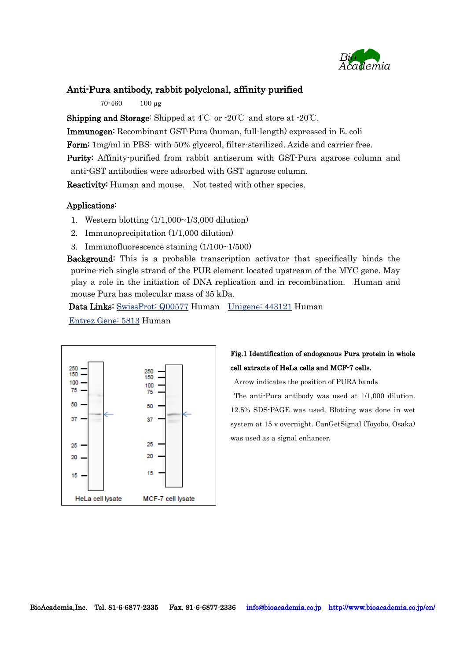

### Anti-Pura antibody, rabbit polyclonal, affinity purified

70-460 100 µg

**Shipping and Storage:** Shipped at  $4^{\circ}$  or  $-20^{\circ}$  and store at  $-20^{\circ}$ .

Immunogen: Recombinant GST-Pura (human, full-length) expressed in E. coli

Form: 1mg/ml in PBS- with 50% glycerol, filter-sterilized. Azide and carrier free.

Purity: Affinity-purified from rabbit antiserum with GST-Pura agarose column and anti-GST antibodies were adsorbed with GST agarose column.

Reactivity: Human and mouse. Not tested with other species.

#### Applications:

- 1. Western blotting (1/1,000~1/3,000 dilution)
- 2. Immunoprecipitation (1/1,000 dilution)
- 3. Immunofluorescence staining  $(1/100~1/500)$

Background: This is a probable transcription activator that specifically binds the purine-rich single strand of the PUR element located upstream of the MYC gene. May play a role in the initiation of DNA replication and in recombination. Human and mouse Pura has molecular mass of 35 kDa.

Data Links: [SwissProt:](http://www.uniprot.org/uniprot/Q00577) Q00577 Human [Unigene:](http://www.ncbi.nlm.nih.gov/UniGene/clust.cgi?ORG=Hs&CID=443121) 443121 Human

[Entrez](http://www.ncbi.nlm.nih.gov/entrez/query.fcgi?db=gene&cmd=Retrieve&dopt=Graphics&list_uids=5813) Gene: 5813 Human



## Fig.1 Identification of endogenous Pura protein in whole cell extracts of HeLa cells and MCF-7 cells.

Arrow indicates the position of PURA bands

The anti-Pura antibody was used at 1/1,000 dilution. 12.5% SDS-PAGE was used. Blotting was done in wet system at 15 v overnight. CanGetSignal (Toyobo, Osaka) was used as a signal enhancer.